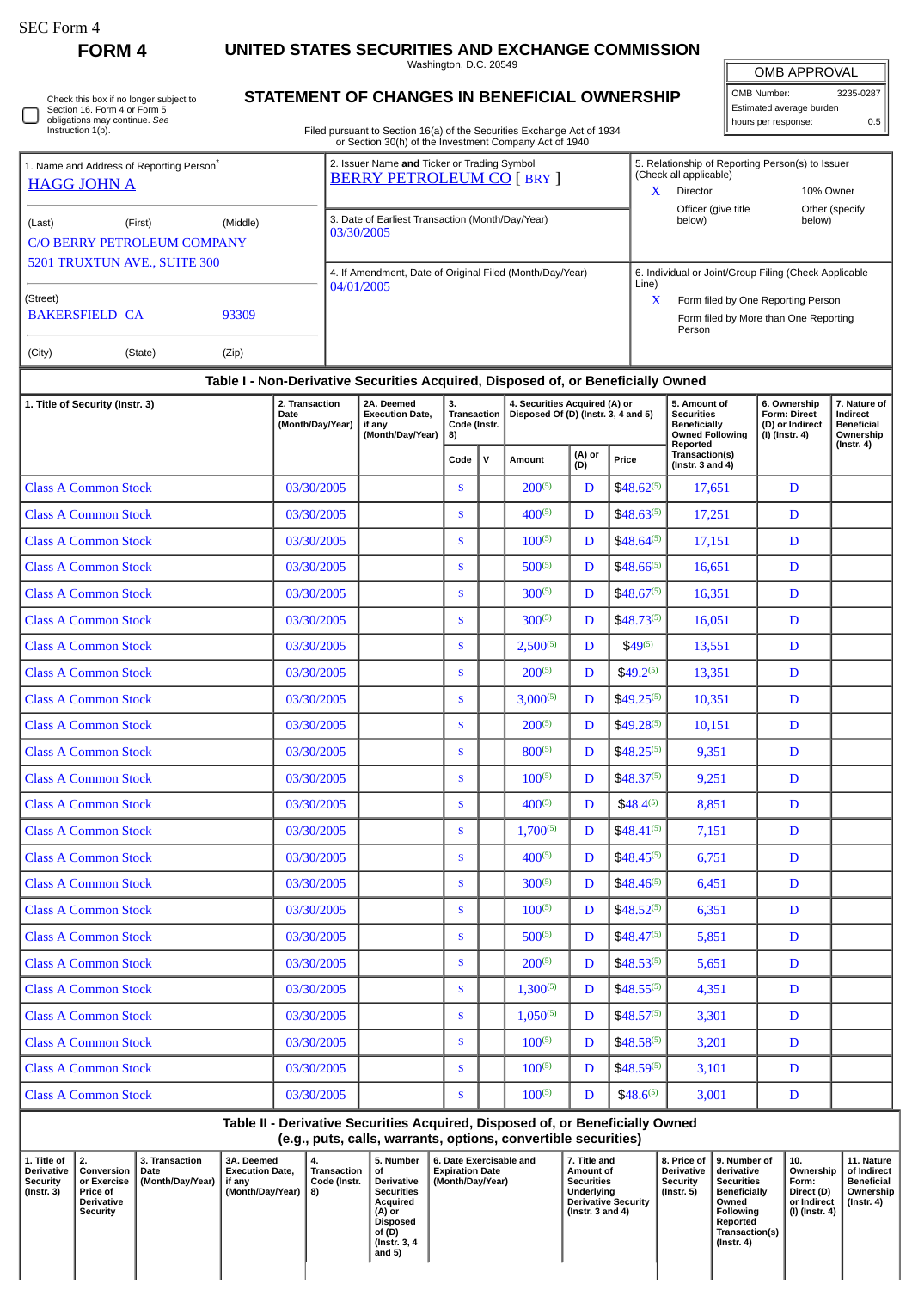J

**FORM 4 UNITED STATES SECURITIES AND EXCHANGE COMMISSION**

Washington, D.C. 20549

| Check this box if no longer subject to |
|----------------------------------------|
| Section 16. Form 4 or Form 5           |
| obligations may continue. See          |
| Instruction 1(b).                      |

## **STATEMENT OF CHANGES IN BENEFICIAL OWNERSHIP**

Filed pursuant to Section 16(a) of the Securities Exchange Act of 1934 or Section 30(h) of the Investment Company Act of 1940

OMB APPROVAL OMB Number: 3235-0287 Estimated average burden hours per response: 0.5

|                                                                            |          | or Occabil both) or the mycothical Company , lot or 1940                         |                                                                            |  |  |  |  |  |  |  |  |
|----------------------------------------------------------------------------|----------|----------------------------------------------------------------------------------|----------------------------------------------------------------------------|--|--|--|--|--|--|--|--|
| 1. Name and Address of Reporting Person <sup>*</sup><br><b>HAGG JOHN A</b> |          | 2. Issuer Name and Ticker or Trading Symbol<br><b>BERRY PETROLEUM CO [ BRY ]</b> | 5. Relationship of Reporting Person(s) to Issuer<br>(Check all applicable) |  |  |  |  |  |  |  |  |
|                                                                            |          |                                                                                  | Director<br>10% Owner<br>$\lambda$                                         |  |  |  |  |  |  |  |  |
|                                                                            |          |                                                                                  | Officer (give title)<br>Other (specify)                                    |  |  |  |  |  |  |  |  |
| (Last)<br>(First)                                                          | (Middle) | 3. Date of Earliest Transaction (Month/Day/Year)<br>03/30/2005                   | below)<br>below)                                                           |  |  |  |  |  |  |  |  |
| C/O BERRY PETROLEUM COMPANY                                                |          |                                                                                  |                                                                            |  |  |  |  |  |  |  |  |
| 5201 TRUXTUN AVE., SUITE 300                                               |          |                                                                                  | 6. Individual or Joint/Group Filing (Check Applicable<br>Line)             |  |  |  |  |  |  |  |  |
|                                                                            |          | 4. If Amendment, Date of Original Filed (Month/Day/Year)<br>04/01/2005           |                                                                            |  |  |  |  |  |  |  |  |
| (Street)                                                                   |          |                                                                                  | X<br>Form filed by One Reporting Person                                    |  |  |  |  |  |  |  |  |
| <b>BAKERSFIELD CA</b>                                                      | 93309    |                                                                                  | Form filed by More than One Reporting<br>Person                            |  |  |  |  |  |  |  |  |
| (City)<br>(State)                                                          | (Zip)    |                                                                                  |                                                                            |  |  |  |  |  |  |  |  |

## **Table I - Non-Derivative Securities Acquired, Disposed of, or Beneficially Owned 1. Title of Security (Instr. 3) 2. Transaction Date (Month/Day/Year) 2A. Deemed Execution Date, if any (Month/Day/Year) 3. Transaction Code (Instr. 8) 4. Securities Acquired (A) or Disposed Of (D) (Instr. 3, 4 and 5) 5. Amount of Securities Beneficially Owned Following Reported Transaction(s) (Instr. 3 and 4) 6. Ownership Form: Direct (D) or Indirect (I) (Instr. 4) 7. Nature of Indirect Beneficial Ownership (Instr. 4) Code <sup>V</sup> Amount (A) or**  $\begin{array}{c} (A) \text{ or } \\ (D) \end{array}$  Price Class A Common Stock 03/30/2005 S 200(5) D \$48.62(5) 17,651 D Class A Common Stock 03/30/2005 S  $\begin{array}{|c|c|c|c|c|c|c|c|c|} \hline \end{array}$  03/30/2005 S  $\begin{array}{|c|c|c|c|c|c|c|c|} \hline \end{array}$  400<sup>(5)</sup> D  $\begin{array}{|c|c|c|c|c|c|c|c|} \hline \end{array}$  417,251 D Class A Common Stock 03/30/2005 S 100(5) D \$48.64(5) 17,151 D

|                             | Talala II - Banistadista Capetuidian, Apro | متحافظ المتحمية |               |   | and at an Banafield U.C. |        |   |  |
|-----------------------------|--------------------------------------------|-----------------|---------------|---|--------------------------|--------|---|--|
| <b>Class A Common Stock</b> | 03/30/2005                                 | S               | $100^{(5)}$   | D | $$48.6^{(5)}$            | 3,001  | D |  |
| <b>Class A Common Stock</b> | 03/30/2005                                 | S               | $100^{(5)}$   | D | $$48.59^{(5)}$           | 3,101  | D |  |
| <b>Class A Common Stock</b> | 03/30/2005                                 | S.              | $100^{(5)}$   | D | $$48.58^{(5)}$           | 3,201  | D |  |
| <b>Class A Common Stock</b> | 03/30/2005                                 | S.              | $1,050^{(5)}$ | D | $$48.57^{(5)}$           | 3,301  | D |  |
| <b>Class A Common Stock</b> | 03/30/2005                                 | S               | $1,300^{(5)}$ | D | $$48.55^{(5)}$           | 4,351  | D |  |
| <b>Class A Common Stock</b> | 03/30/2005                                 | S.              | $200^{(5)}$   | D | $$48.53^{(5)}$           | 5,651  | D |  |
| <b>Class A Common Stock</b> | 03/30/2005                                 | S.              | $500^{(5)}$   | D | $$48.47^{(5)}$           | 5,851  | D |  |
| <b>Class A Common Stock</b> | 03/30/2005                                 | S               | $100^{(5)}$   | D | $$48.52^{(5)}$           | 6,351  | D |  |
| <b>Class A Common Stock</b> | 03/30/2005                                 | S               | $300^{(5)}$   | D | $$48.46^{(5)}$           | 6,451  | D |  |
| <b>Class A Common Stock</b> | 03/30/2005                                 | S               | $400^{(5)}$   | D | $$48.45^{(5)}$           | 6,751  | D |  |
| <b>Class A Common Stock</b> | 03/30/2005                                 | S.              | $1,700^{(5)}$ | D | $$48.41^{(5)}$           | 7,151  | D |  |
| <b>Class A Common Stock</b> | 03/30/2005                                 | S.              | $400^{(5)}$   | D | $$48.4^{(5)}$            | 8,851  | D |  |
| <b>Class A Common Stock</b> | 03/30/2005                                 | S               | $100^{(5)}$   | D | $$48.37^{(5)}$           | 9,251  | D |  |
| <b>Class A Common Stock</b> | 03/30/2005                                 | S.              | $800^{(5)}$   | D | $$48.25^{(5)}$           | 9,351  | D |  |
| <b>Class A Common Stock</b> | 03/30/2005                                 | S               | $200^{(5)}$   | D | $$49.28^{(5)}$           | 10,151 | D |  |
| <b>Class A Common Stock</b> | 03/30/2005                                 | S.              | $3.000^{(5)}$ | D | $$49.25^{(5)}$           | 10,351 | D |  |
| <b>Class A Common Stock</b> | 03/30/2005                                 | S               | $200^{(5)}$   | D | $$49.2^{(5)}$            | 13,351 | D |  |
| <b>Class A Common Stock</b> | 03/30/2005                                 | S               | $2,500^{(5)}$ | D | $$49^{(5)}$$             | 13,551 | D |  |
| <b>Class A Common Stock</b> | 03/30/2005                                 | S               | $300^{(5)}$   | D | $$48.73^{(5)}$           | 16,051 | D |  |
| <b>Class A Common Stock</b> | 03/30/2005                                 | S               | $300^{(5)}$   | D | $$48.67^{(5)}$           | 16,351 | D |  |
| <b>Class A Common Stock</b> | 03/30/2005                                 | S               | $500^{(5)}$   | D | $$48.66^{(5)}$           | 16,651 | D |  |
| <b>Class A Common Stock</b> | 03/30/2005                                 | S               | $100^{(5)}$   | D | $$48.64^{(5)}$$          | 17,151 | D |  |

**Table II - Derivative Securities Acquired, Disposed of, or Beneficially Owned (e.g., puts, calls, warrants, options, convertible securities)**

| 1. Title of<br>Derivative<br><b>Security</b><br>(Instr. 3) | 2.<br>Conversion  <br>l Date<br>or Exercise<br><b>Price of</b><br><b>Derivative</b><br>Security | <b>3. Transaction</b><br>(Month/Day/Year) | <b>3A. Deemed</b><br><b>Execution Date,</b><br>l if anv<br>(Month/Day/Year) $  8$ ) | 4.<br>Transaction<br>Code (Instr. | 5. Number<br>οf<br>Derivative<br><b>Securities</b><br>Acauired<br>(A) or<br>Disposed | <b>6. Date Exercisable and 6.</b><br><b>Expiration Date</b><br>(Month/Day/Year) | 7. Title and<br>Amount of<br><b>Securities</b><br><b>Underlying</b><br><b>Derivative Security</b><br>(Instr. $3$ and $4$ ) | 8. Price of<br><b>Derivative</b><br>Security<br>(Instr. 5) | 9. Number of<br>derivative<br>Securities<br>Beneficially<br>Owned<br>Following<br>Reported | 10.<br>, Ownership<br>Form:<br>Direct (D)<br>or Indirect<br>(I) (Instr. 4) | 11. Nature<br>l of Indirect<br><b>Beneficial</b><br>Ownership<br>(Instr. 4) |
|------------------------------------------------------------|-------------------------------------------------------------------------------------------------|-------------------------------------------|-------------------------------------------------------------------------------------|-----------------------------------|--------------------------------------------------------------------------------------|---------------------------------------------------------------------------------|----------------------------------------------------------------------------------------------------------------------------|------------------------------------------------------------|--------------------------------------------------------------------------------------------|----------------------------------------------------------------------------|-----------------------------------------------------------------------------|
|                                                            |                                                                                                 |                                           |                                                                                     |                                   |                                                                                      |                                                                                 |                                                                                                                            |                                                            |                                                                                            |                                                                            |                                                                             |
|                                                            |                                                                                                 |                                           |                                                                                     |                                   |                                                                                      |                                                                                 |                                                                                                                            |                                                            |                                                                                            |                                                                            |                                                                             |
|                                                            |                                                                                                 |                                           |                                                                                     |                                   | of (D)                                                                               |                                                                                 |                                                                                                                            |                                                            | Transaction(s)                                                                             |                                                                            |                                                                             |
|                                                            |                                                                                                 |                                           |                                                                                     |                                   | (Instr. 3, 4)<br>and $5$ )                                                           |                                                                                 |                                                                                                                            |                                                            | (Instr. 4)                                                                                 |                                                                            |                                                                             |
|                                                            |                                                                                                 |                                           |                                                                                     |                                   |                                                                                      |                                                                                 |                                                                                                                            |                                                            |                                                                                            |                                                                            |                                                                             |
|                                                            |                                                                                                 |                                           |                                                                                     |                                   |                                                                                      |                                                                                 |                                                                                                                            |                                                            |                                                                                            |                                                                            |                                                                             |